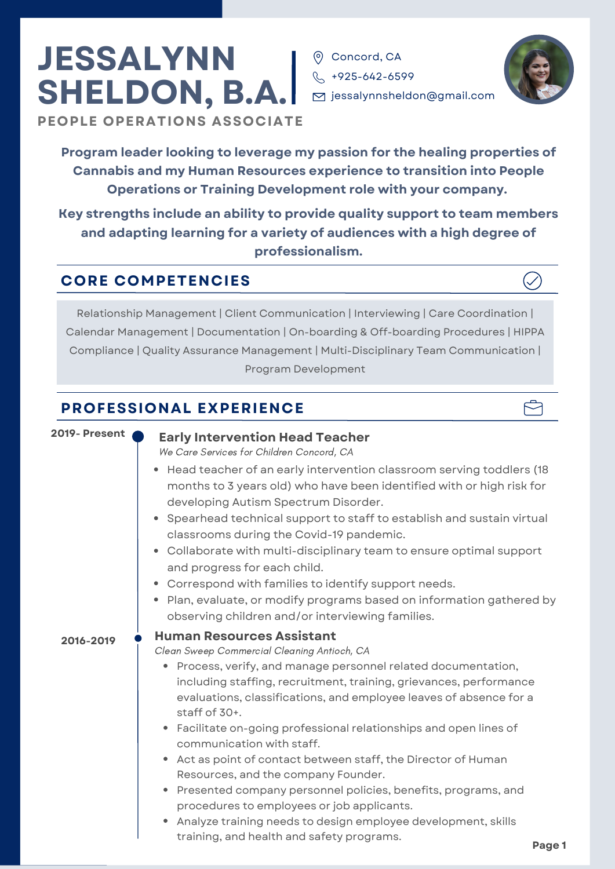# **JESSALYNN SHELDON, B.A.**

**PEOPLE OPERATIONS ASSOCIATE**

**Program leader looking to leverage my passion for the healing properties of Cannabis and my Human Resources experience to transition into People Operations or Training Development role with your company.**

**O** Concord, CA  $\%$  +925-642-6599

**Key strengths include an ability to provide quality support to team members and adapting learning for a variety of audiences with a high degree of professionalism.**

### **CORE COMPETENCIES**

Relationship Management | Client Communication | Interviewing | Care Coordination | Calendar Management | Documentation | On-boarding & Off-boarding Procedures | HIPPA Compliance | Quality Assurance Management | Multi-Disciplinary Team Communication | Program Development

### **PROFESSIONAL EXPERIENCE**

#### **2019- Present Early Intervention Head Teacher** • Process, verify, and manage personnel related documentation, including staffing, recruitment, training, grievances, performance evaluations, classifications, and employee leaves of absence for a staff of 30+. Facilitate on-going professional relationships and open lines of communication with staff. Act as point of contact between staff, the Director of Human Resources, and the company Founder. • Presented company personnel policies, benefits, programs, and procedures to employees or job applicants. **Human Resources Assistant 2016-2019** Clean Sweep Commercial Cleaning Antioch, CA We Care Services for Children Concord, CA • Head teacher of an early intervention classroom serving toddlers (18 months to 3 years old) who have been identified with or high risk for developing Autism Spectrum Disorder. • Spearhead technical support to staff to establish and sustain virtual classrooms during the Covid-19 pandemic. Collaborate with multi-disciplinary team to ensure optimal support and progress for each child. Correspond with families to identify support needs. Plan, evaluate, or modify programs based on information gathered by observing children and/or interviewing families.

Analyze training needs to design employee development, skills training, and health and safety programs.

 $\boxed{\triangleright}$  jessalynnsheldon@gmail.com



Բ